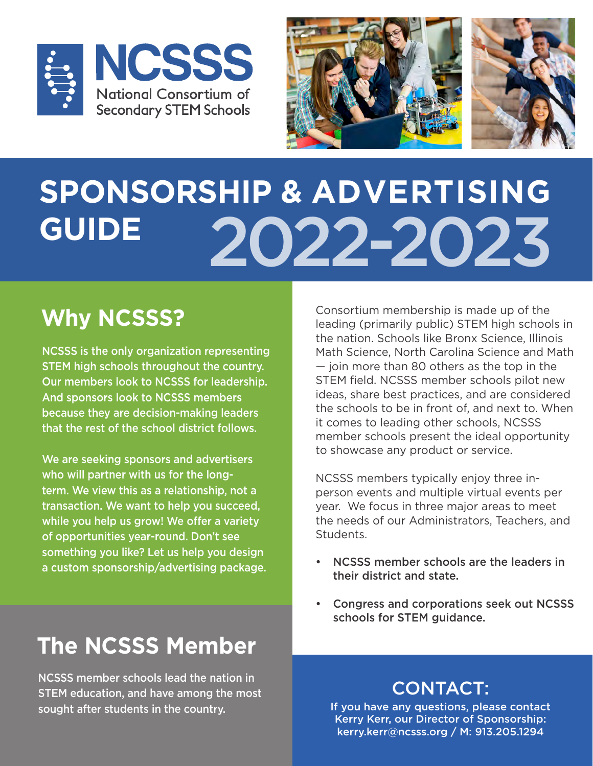





## 2022-2023 **SPONSORSHIP & ADVERTISING GUIDE**

## **Why NCSSS?**

NCSSS is the only organization representing STEM high schools throughout the country. Our members look to NCSSS for leadership. And sponsors look to NCSSS members because they are decision-making leaders that the rest of the school district follows.

We are seeking sponsors and advertisers who will partner with us for the longterm. We view this as a relationship, not a transaction. We want to help you succeed, while you help us grow! We offer a variety of opportunities year-round. Don't see something you like? Let us help you design a custom sponsorship/advertising package.

## **The NCSSS Member**

NCSSS member schools lead the nation in STEM education, and have among the most sought after students in the country.

Consortium membership is made up of the leading (primarily public) STEM high schools in the nation. Schools like Bronx Science, Illinois Math Science, North Carolina Science and Math — join more than 80 others as the top in the STEM field. NCSSS member schools pilot new ideas, share best practices, and are considered the schools to be in front of, and next to. When it comes to leading other schools, NCSSS member schools present the ideal opportunity to showcase any product or service.

NCSSS members typically enjoy three inperson events and multiple virtual events per year. We focus in three major areas to meet the needs of our Administrators, Teachers, and Students.

- NCSSS member schools are the leaders in their district and state.
- Congress and corporations seek out NCSSS schools for STEM guidance.

#### CONTACT:

If you have any questions, please contact Kerry Kerr, our Director of Sponsorship: kerry.kerr@ncsss.org / M: 913.205.1294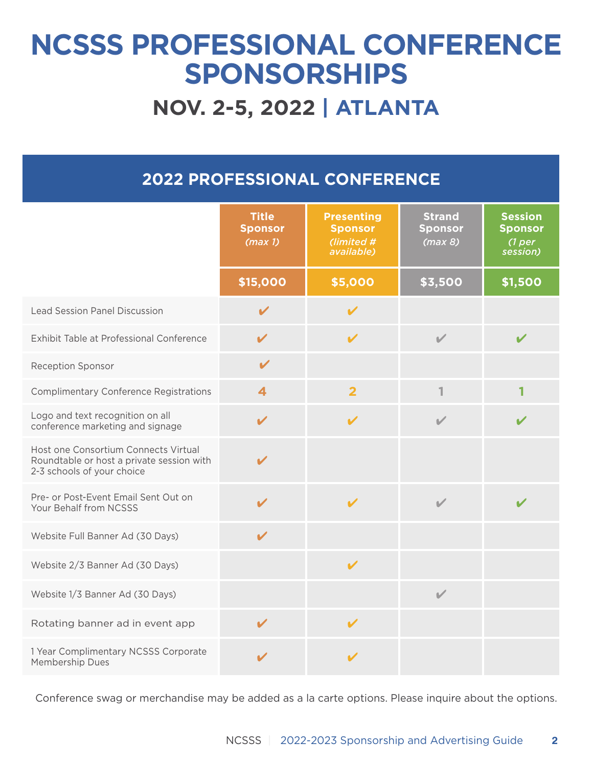# **NCSSS PROFESSIONAL CONFERENCE SPONSORSHIPS**

#### **NOV. 2-5, 2022 | ATLANTA**

#### **2022 PROFESSIONAL CONFERENCE**

|                                                                                                                 | <b>Title</b><br><b>Sponsor</b><br>(max <sub>1</sub> ) | <b>Presenting</b><br><b>Sponsor</b><br>(limited #<br>available) | <b>Strand</b><br><b>Sponsor</b><br>(max 8) | <b>Session</b><br><b>Sponsor</b><br>(1 <sub>per</sub> )<br>session) |
|-----------------------------------------------------------------------------------------------------------------|-------------------------------------------------------|-----------------------------------------------------------------|--------------------------------------------|---------------------------------------------------------------------|
|                                                                                                                 | \$15,000                                              | \$5,000                                                         | \$3,500                                    | \$1,500                                                             |
| <b>Lead Session Panel Discussion</b>                                                                            | V                                                     | $\boldsymbol{\mathcal{U}}$                                      |                                            |                                                                     |
| Exhibit Table at Professional Conference                                                                        | $\mathbf{v}$                                          | $\boldsymbol{\mathcal{U}}$                                      | $\overline{\mathscr{C}}$                   | V                                                                   |
| <b>Reception Sponsor</b>                                                                                        | $\mathbf{v}$                                          |                                                                 |                                            |                                                                     |
| <b>Complimentary Conference Registrations</b>                                                                   | $\overline{\mathbf{4}}$                               | $\overline{2}$                                                  | 1                                          | 1                                                                   |
| Logo and text recognition on all<br>conference marketing and signage                                            | $\boldsymbol{\mathcal{U}}$                            | $\boldsymbol{\mathcal{U}}$                                      | $\sqrt{2}$                                 |                                                                     |
| Host one Consortium Connects Virtual<br>Roundtable or host a private session with<br>2-3 schools of your choice | $\overline{\mathscr{L}}$                              |                                                                 |                                            |                                                                     |
| Pre- or Post-Event Email Sent Out on<br>Your Behalf from NCSSS                                                  | $\boldsymbol{\mathcal{U}}$                            | $\mathbf{v}$                                                    | $\overline{\mathscr{C}}$                   | V                                                                   |
| Website Full Banner Ad (30 Days)                                                                                | $\boldsymbol{\mathcal{U}}$                            |                                                                 |                                            |                                                                     |
| Website 2/3 Banner Ad (30 Days)                                                                                 |                                                       | $\mathbf{v}$                                                    |                                            |                                                                     |
| Website 1/3 Banner Ad (30 Days)                                                                                 |                                                       |                                                                 | $\checkmark$                               |                                                                     |
| Rotating banner ad in event app                                                                                 | V                                                     | $\mathbf{v}$                                                    |                                            |                                                                     |
| 1 Year Complimentary NCSSS Corporate<br>Membership Dues                                                         | V                                                     | $\boldsymbol{\mathcal{U}}$                                      |                                            |                                                                     |

Conference swag or merchandise may be added as a la carte options. Please inquire about the options.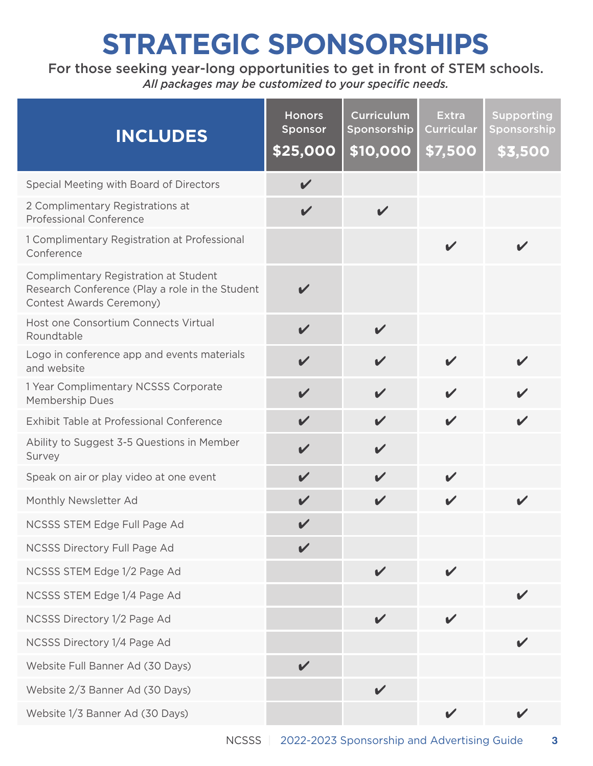## **STRATEGIC SPONSORSHIPS**

For those seeking year-long opportunities to get in front of STEM schools. *All packages may be customized to your specific needs.*

| <b>INCLUDES</b>                                                                                                      | <b>Honors</b><br>Sponsor<br>\$25,000 | <b>Curriculum</b><br>Sponsorship<br>\$10,000 | <b>Extra</b><br><b>Curricular</b><br>\$7,500 | <b>Supporting</b><br>Sponsorship<br>\$3,500 |
|----------------------------------------------------------------------------------------------------------------------|--------------------------------------|----------------------------------------------|----------------------------------------------|---------------------------------------------|
| Special Meeting with Board of Directors                                                                              | $\checkmark$                         |                                              |                                              |                                             |
| 2 Complimentary Registrations at<br><b>Professional Conference</b>                                                   | $\boldsymbol{\mathcal{U}}$           | $\boldsymbol{\mathcal{U}}$                   |                                              |                                             |
| 1 Complimentary Registration at Professional<br>Conference                                                           |                                      |                                              | $\boldsymbol{\mathscr{L}}$                   |                                             |
| Complimentary Registration at Student<br>Research Conference (Play a role in the Student<br>Contest Awards Ceremony) |                                      |                                              |                                              |                                             |
| Host one Consortium Connects Virtual<br>Roundtable                                                                   | $\checkmark$                         | $\boldsymbol{\mathcal{U}}$                   |                                              |                                             |
| Logo in conference app and events materials<br>and website                                                           | $\boldsymbol{\mathcal{U}}$           | V                                            | $\boldsymbol{\mathscr{U}}$                   | V                                           |
| 1 Year Complimentary NCSSS Corporate<br>Membership Dues                                                              | $\boldsymbol{\mathcal{U}}$           | $\boldsymbol{\mathscr{C}}$                   | $\boldsymbol{\mathscr{U}}$                   |                                             |
| Exhibit Table at Professional Conference                                                                             | $\boldsymbol{\mathcal{U}}$           | $\boldsymbol{\mathscr{C}}$                   | $\mathbf{v}$                                 | V                                           |
| Ability to Suggest 3-5 Questions in Member<br>Survey                                                                 | $\checkmark$                         | $\boldsymbol{\mathcal{U}}$                   |                                              |                                             |
| Speak on air or play video at one event                                                                              | $\boldsymbol{\mathcal{U}}$           | $\boldsymbol{\mathscr{C}}$                   | $\mathbf{v}$                                 |                                             |
| Monthly Newsletter Ad                                                                                                | $\boldsymbol{\mathcal{U}}$           | V                                            | V                                            | V                                           |
| NCSSS STEM Edge Full Page Ad                                                                                         | V                                    |                                              |                                              |                                             |
| NCSSS Directory Full Page Ad                                                                                         |                                      |                                              |                                              |                                             |
| NCSSS STEM Edge 1/2 Page Ad                                                                                          |                                      | $\boldsymbol{\mathscr{C}}$                   | $\mathbf{v}$                                 |                                             |
| NCSSS STEM Edge 1/4 Page Ad                                                                                          |                                      |                                              |                                              |                                             |
| NCSSS Directory 1/2 Page Ad                                                                                          |                                      | $\boldsymbol{\mathscr{C}}$                   | $\mathbf{v}$                                 |                                             |
| NCSSS Directory 1/4 Page Ad                                                                                          |                                      |                                              |                                              |                                             |
| Website Full Banner Ad (30 Days)                                                                                     | $\mathbf{v}$                         |                                              |                                              |                                             |
| Website 2/3 Banner Ad (30 Days)                                                                                      |                                      | V                                            |                                              |                                             |
| Website 1/3 Banner Ad (30 Days)                                                                                      |                                      |                                              | $\boldsymbol{\mathcal{U}}$                   |                                             |

3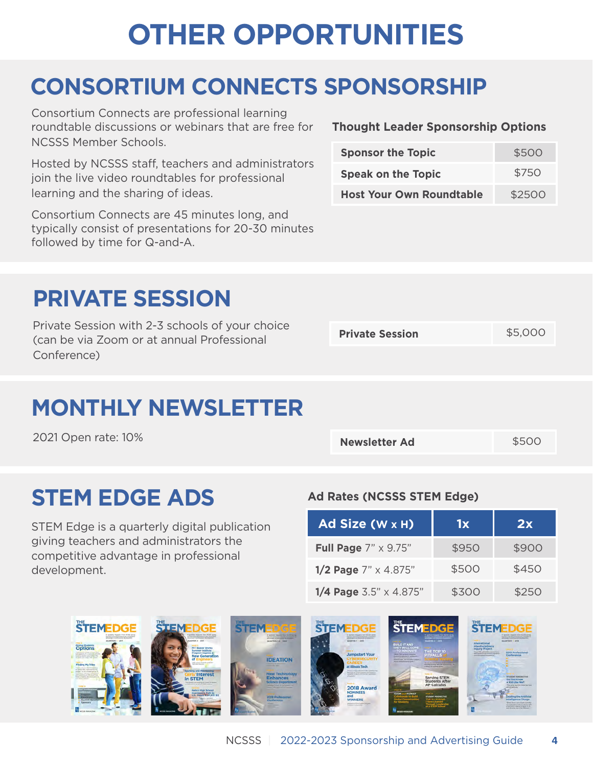# **OTHER OPPORTUNITIES**

### **CONSORTIUM CONNECTS SPONSORSHIP**

Consortium Connects are professional learning roundtable discussions or webinars that are free for NCSSS Member Schools.

Hosted by NCSSS staff, teachers and administrators join the live video roundtables for professional learning and the sharing of ideas.

Consortium Connects are 45 minutes long, and typically consist of presentations for 20-30 minutes followed by time for Q-and-A.

#### **Thought Leader Sponsorship Options**

| <b>Sponsor the Topic</b>        | \$500  |
|---------------------------------|--------|
| <b>Speak on the Topic</b>       | \$750  |
| <b>Host Your Own Roundtable</b> | \$2500 |

### **PRIVATE SESSION**

Private Session with 2-3 schools of your choice (can be via Zoom or at annual Professional Conference)

## **MONTHLY NEWSLETTER**

2021 Open rate: 10% **Newsletter Ad** \$500

#### **STEM EDGE ADS**

STEM Edge is a quarterly digital publication giving teachers and administrators the competitive advantage in professional development.

#### **Ad Rates (NCSSS STEM Edge)**

| Ad Size (W x H)             | 1x    | 2x    |
|-----------------------------|-------|-------|
| <b>Full Page 7" x 9.75"</b> | \$950 | \$900 |
| 1/2 Page 7" x 4.875"        | \$500 | \$450 |
| 1/4 Page 3.5" x 4.875"      | \$300 | \$250 |